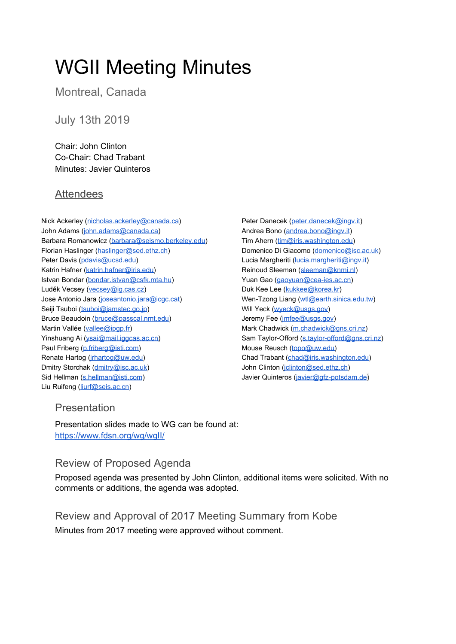# WGII Meeting Minutes

Montreal, Canada

# July 13th 2019

Chair: John Clinton Co-Chair: Chad Trabant Minutes: Javier Quinteros

## **Attendees**

- Nick Ackerley [\(nicholas.ackerley@canada.ca\)](mailto:nicholas.ackerley@canada.ca) John Adams ([john.adams@canada.ca\)](mailto:john.adams@canada.ca) Barbara Romanowicz ([barbara@seismo.berkeley.edu\)](mailto:barbara@seismo.berkeley.edu) Florian Haslinger ([haslinger@sed.ethz.ch](mailto:haslinger@sed.ethz.ch)) Peter Davis [\(pdavis@ucsd.edu\)](mailto:pdavis@ucsd.edu) Katrin Hafner ([katrin.hafner@iris.edu\)](mailto:katrin.hafner@iris.edu) Istvan Bondar [\(bondar.istvan@csfk.mta.hu](mailto:bondar.istvan@csfk.mta.hu)) Luděk Vecsey [\(vecsey@ig.cas.cz](mailto:vecsey@ig.cas.cz)) Jose Antonio Jara [\(joseantonio.jara@icgc.cat\)](mailto:joseantonio.jara@icgc.cat) Seiji Tsuboi [\(tsuboi@jamstec.go.jp](mailto:tsuboi@jamstec.go.jp)) Bruce Beaudoin ([bruce@passcal.nmt.edu\)](mailto:bruce@passcal.nmt.edu) Martin Vallée [\(vallee@ipgp.fr\)](mailto:vallee@ipgp.fr) Yinshuang Ai ([ysai@mail.iggcas.ac.cn\)](mailto:ysai@mail.iggcas.ac.cn) Paul Friberg ([p.friberg@isti.com\)](mailto:p.friberg@isti.com) Renate Hartog [\(jrhartog@uw.edu\)](mailto:jrhartog@uw.edu) Dmitry Storchak ([dmitry@isc.ac.uk](mailto:dmitry@isc.ac.uk)) Sid Hellman [\(s.hellman@isti.com](mailto:s.hellman@isti.com)) Liu Ruifeng [\(liurf@seis.ac.cn\)](mailto:liurf@seis.ac.cn)
- Peter Danecek [\(peter.danecek@ingv.it\)](mailto:peter.danecek@ingv.it) Andrea Bono [\(andrea.bono@ingv.it](mailto:andrea.bono@ingv.it)) Tim Ahern [\(tim@iris.washington.edu\)](mailto:tim@iris.washington.edu) Domenico Di Giacomo [\(domenico@isc.ac.uk\)](mailto:domenico@isc.ac.uk) Lucia Margheriti ([lucia.margheriti@ingv.it\)](mailto:lucia.margheriti@ingv.it) Reinoud Sleeman [\(sleeman@knmi.nl\)](mailto:sleeman@knmi.nl) Yuan Gao [\(gaoyuan@cea-ies.ac.cn\)](mailto:gaoyuan@cea-ies.ac.cn) Duk Kee Lee ([kukkee@korea.kr\)](mailto:kukkee@korea.kr) Wen-Tzong Liang ([wtl@earth.sinica.edu.tw\)](mailto:wtl@earth.sinica.edu.tw) Will Yeck ([wyeck@usgs.gov\)](mailto:wyeck@usgs.gov) Jeremy Fee (*imfee@usgs.gov*) Mark Chadwick [\(m.chadwick@gns.cri.nz\)](mailto:m.chadwick@gns.cri.nz) Sam Taylor-Offord ([s.taylor-offord@gns.cri.nz](mailto:s.taylor-offord@gns.cri.nz)) Mouse Reusch [\(topo@uw.edu\)](mailto:topo@uw.edu) Chad Trabant ([chad@iris.washington.edu\)](mailto:chad.trabant@iris.edu) John Clinton ([jclinton@sed.ethz.ch\)](mailto:jclinton@sed.ethz.ch) Javier Quinteros [\(javier@gfz-potsdam.de\)](mailto:javier@gfz-potsdam.de)

#### Presentation

Presentation slides made to WG can be found at: <https://www.fdsn.org/wg/wgII/>

# Review of Proposed Agenda

Proposed agenda was presented by John Clinton, additional items were solicited. With no comments or additions, the agenda was adopted.

Review and Approval of 2017 Meeting Summary from Kobe Minutes from 2017 meeting were approved without comment.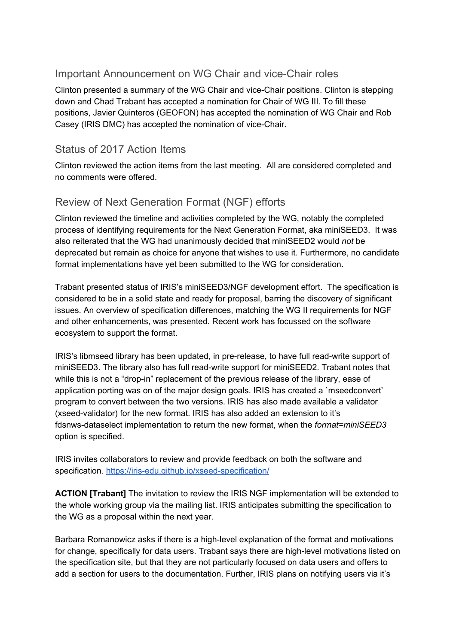## Important Announcement on WG Chair and vice-Chair roles

Clinton presented a summary of the WG Chair and vice-Chair positions. Clinton is stepping down and Chad Trabant has accepted a nomination for Chair of WG III. To fill these positions, Javier Quinteros (GEOFON) has accepted the nomination of WG Chair and Rob Casey (IRIS DMC) has accepted the nomination of vice-Chair.

#### Status of 2017 Action Items

Clinton reviewed the action items from the last meeting. All are considered completed and no comments were offered.

# Review of Next Generation Format (NGF) efforts

Clinton reviewed the timeline and activities completed by the WG, notably the completed process of identifying requirements for the Next Generation Format, aka miniSEED3. It was also reiterated that the WG had unanimously decided that miniSEED2 would *not* be deprecated but remain as choice for anyone that wishes to use it. Furthermore, no candidate format implementations have yet been submitted to the WG for consideration.

Trabant presented status of IRIS's miniSEED3/NGF development effort. The specification is considered to be in a solid state and ready for proposal, barring the discovery of significant issues. An overview of specification differences, matching the WG II requirements for NGF and other enhancements, was presented. Recent work has focussed on the software ecosystem to support the format.

IRIS's libmseed library has been updated, in pre-release, to have full read-write support of miniSEED3. The library also has full read-write support for miniSEED2. Trabant notes that while this is not a "drop-in" replacement of the previous release of the library, ease of application porting was on of the major design goals. IRIS has created a `mseedconvert` program to convert between the two versions. IRIS has also made available a validator (xseed-validator) for the new format. IRIS has also added an extension to it's fdsnws-dataselect implementation to return the new format, when the *format=miniSEED3* option is specified.

IRIS invites collaborators to review and provide feedback on both the software and specification. <https://iris-edu.github.io/xseed-specification/>

**ACTION [Trabant]** The invitation to review the IRIS NGF implementation will be extended to the whole working group via the mailing list. IRIS anticipates submitting the specification to the WG as a proposal within the next year.

Barbara Romanowicz asks if there is a high-level explanation of the format and motivations for change, specifically for data users. Trabant says there are high-level motivations listed on the specification site, but that they are not particularly focused on data users and offers to add a section for users to the documentation. Further, IRIS plans on notifying users via it's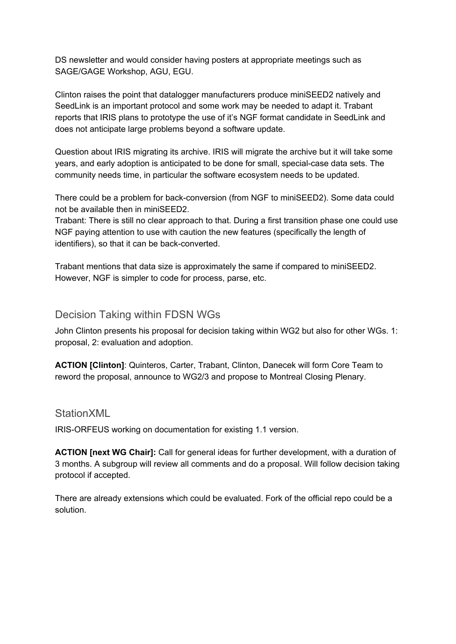DS newsletter and would consider having posters at appropriate meetings such as SAGE/GAGE Workshop, AGU, EGU.

Clinton raises the point that datalogger manufacturers produce miniSEED2 natively and SeedLink is an important protocol and some work may be needed to adapt it. Trabant reports that IRIS plans to prototype the use of it's NGF format candidate in SeedLink and does not anticipate large problems beyond a software update.

Question about IRIS migrating its archive. IRIS will migrate the archive but it will take some years, and early adoption is anticipated to be done for small, special-case data sets. The community needs time, in particular the software ecosystem needs to be updated.

There could be a problem for back-conversion (from NGF to miniSEED2). Some data could not be available then in miniSEED2.

Trabant: There is still no clear approach to that. During a first transition phase one could use NGF paying attention to use with caution the new features (specifically the length of identifiers), so that it can be back-converted.

Trabant mentions that data size is approximately the same if compared to miniSEED2. However, NGF is simpler to code for process, parse, etc.

#### Decision Taking within FDSN WGs

John Clinton presents his proposal for decision taking within WG2 but also for other WGs. 1: proposal, 2: evaluation and adoption.

**ACTION [Clinton]**: Quinteros, Carter, Trabant, Clinton, Danecek will form Core Team to reword the proposal, announce to WG2/3 and propose to Montreal Closing Plenary.

#### **StationXML**

IRIS-ORFEUS working on documentation for existing 1.1 version.

**ACTION [next WG Chair]:** Call for general ideas for further development, with a duration of 3 months. A subgroup will review all comments and do a proposal. Will follow decision taking protocol if accepted.

There are already extensions which could be evaluated. Fork of the official repo could be a solution.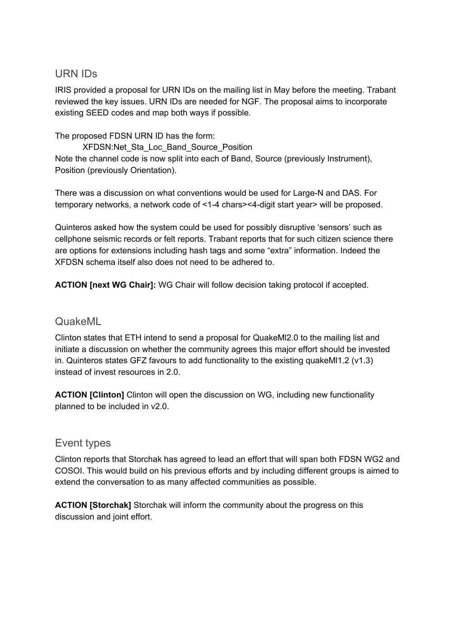#### URN IDs

IRIS provided a proposal for URN IDs on the mailing list in May before the meeting. Trabant reviewed the key issues. URN IDs are needed for NGF. The proposal aims to incorporate existing SEED codes and map both ways if possible.

The proposed FDSN URN ID has the form:

XFDSN:Net\_Sta\_Loc\_Band\_Source\_Position Note the channel code is now split into each of Band, Source (previously Instrument), Position (previously Orientation).

There was a discussion on what conventions would be used for Large-N and DAS. For temporary networks, a network code of <1-4 chars><4-digit start year> will be proposed.

Quinteros asked how the system could be used for possibly disruptive 'sensors' such as cellphone seismic records or felt reports. Trabant reports that for such citizen science there are options for extensions including hash tags and some "extra" information. Indeed the XFDSN schema itself also does not need to be adhered to.

**ACTION [next WG Chair]:** WG Chair will follow decision taking protocol if accepted.

#### QuakeML

Clinton states that ETH intend to send a proposal for QuakeMl2.0 to the mailing list and initiate a discussion on whether the community agrees this major effort should be invested in. Quinteros states GFZ favours to add functionality to the existing quakeMl1.2 (v1.3) instead of invest resources in 2.0.

**ACTION [Clinton]** Clinton will open the discussion on WG, including new functionality planned to be included in v2.0.

#### Event types

Clinton reports that Storchak has agreed to lead an effort that will span both FDSN WG2 and COSOI. This would build on his previous efforts and by including different groups is aimed to extend the conversation to as many affected communities as possible.

**ACTION [Storchak]** Storchak will inform the community about the progress on this discussion and joint effort.